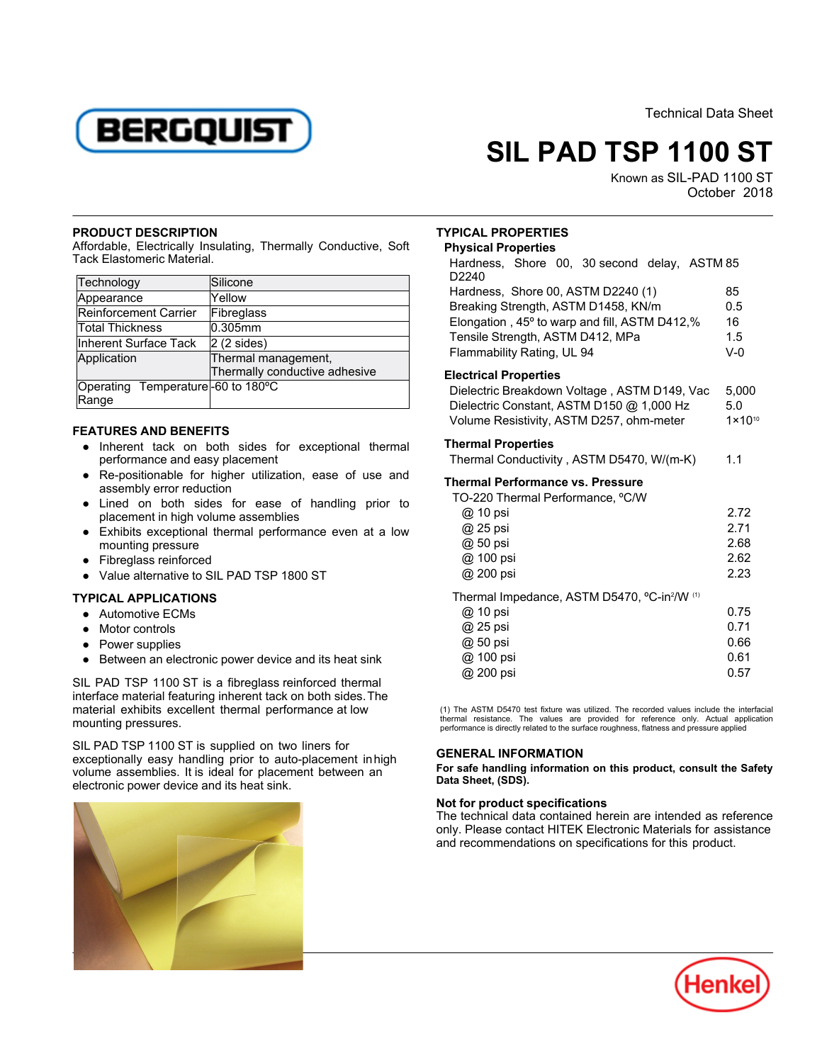

Technical Data Sheet

# **SIL PAD TSP 1100 ST**

Known as SIL-PAD 1100 ST October -2018

### **PRODUCT DESCRIPTION**

Affordable, Electrically Insulating, Thermally Conductive, Soft Tack Elastomeric Material.

| Technology                                 | Silicone                                             |
|--------------------------------------------|------------------------------------------------------|
| Appearance                                 | Yellow                                               |
| Reinforcement Carrier                      | Fibreglass                                           |
| <b>Total Thickness</b>                     | 0.305mm                                              |
| Inherent Surface Tack                      | $ 2(2 \times)$                                       |
| Application                                | Thermal management,<br>Thermally conductive adhesive |
| Operating Temperature-60 to 180°C<br>Range |                                                      |

## **FEATURES AND BENEFITS**

- Inherent tack on both sides for exceptional thermal micront lack on both slacs in
- Re-positionable for higher utilization, ease of use and Acc positionable for riight
- Lined on both sides for ease of handling prior to placement in high volume assemblies
- Exhibits exceptional thermal performance even at a low mounting pressure
- $\overline{\phantom{a}}$ Fibreglass reinforced
- $\bullet$ Value alternative to SIL PAD TSP 1800 ST

## **TYPICAL APPLICATIONS**

- Automotive ECMs
- Motor controls
- Power supplies
- Between an electronic power device and its heat sink

SIL PAD TSP 1100 ST is a fibreglass reinforced thermal interface material featuring inherent tack on both sides.The material exhibits excellent thermal performance at low mounting pressures.

SIL PAD TSP 1100 ST is supplied on two liners for exceptionally easy handling prior to auto-placement in high volume assemblies. It is ideal for placement between an electronic power device and its heat sink.



## **TYPICAL PROPERTIES**

#### **Physical Properties**

| Hardness, Shore 00, 30 second delay, ASTM 85<br>D <sub>2240</sub> |      |  |
|-------------------------------------------------------------------|------|--|
| Hardness, Shore 00, ASTM D2240 (1)                                | 85   |  |
| Breaking Strength, ASTM D1458, KN/m                               |      |  |
| Elongation, 45° to warp and fill, ASTM D412,%                     |      |  |
| Tensile Strength, ASTM D412, MPa                                  |      |  |
| Flammability Rating, UL 94                                        |      |  |
| <b>Electrical Properties</b>                                      |      |  |
| Dielectric Breakdown Voltage, ASTM D149, Vac                      |      |  |
| Dielectric Constant, ASTM D150 @ 1,000 Hz                         |      |  |
| Volume Resistivity, ASTM D257, ohm-meter                          |      |  |
| <b>Thermal Properties</b>                                         |      |  |
| Thermal Conductivity, ASTM D5470, W/(m-K)                         | 1.1  |  |
| Thermal Performance vs. Pressure                                  |      |  |
| TO-220 Thermal Performance, °C/W                                  |      |  |
| @ 10 psi                                                          |      |  |
| @ 25 psi                                                          |      |  |
| @ 50 psi                                                          | 2.68 |  |
| @ 100 psi                                                         |      |  |

| @ 200 psi                                                | 2.23 |
|----------------------------------------------------------|------|
| Thermal Impedance, ASTM D5470, °C-in <sup>2</sup> /W (1) |      |
| @ 10 psi                                                 | 0.75 |
| @ 25 psi                                                 | 0.71 |
| @ 50 psi                                                 | 0.66 |
| @ 100 psi                                                | 0.61 |
| @ 200 psi                                                | 0.57 |

(1) The ASTM D5470 test fixture was utilized. The recorded values include the interfacial thermal resistance. The values are provided for reference only. Actual application performance is directly related to the surface roughness, flatness and pressure applied

## **GENERAL INFORMATION**

**For safe handling information on this product, consult the Safety Data Sheet, (SDS).**

## **Not for product specifications**

The technical data contained herein are intended as reference only. Please contact HITEK Electronic Materials for assistance and recommendations on specifications for this product.